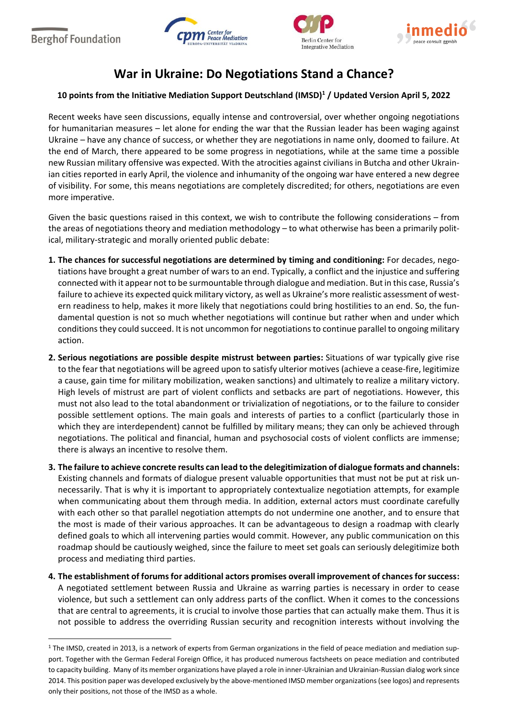$\overline{\phantom{a}}$ 







## **War in Ukraine: Do Negotiations Stand a Chance?**

## **10 points from the Initiative Mediation Support Deutschland (IMSD)<sup>1</sup> / Updated Version April 5, 2022**

Recent weeks have seen discussions, equally intense and controversial, over whether ongoing negotiations for humanitarian measures – let alone for ending the war that the Russian leader has been waging against Ukraine – have any chance of success, or whether they are negotiations in name only, doomed to failure. At the end of March, there appeared to be some progress in negotiations, while at the same time a possible new Russian military offensive was expected. With the atrocities against civilians in Butcha and other Ukrainian cities reported in early April, the violence and inhumanity of the ongoing war have entered a new degree of visibility. For some, this means negotiations are completely discredited; for others, negotiations are even more imperative.

Given the basic questions raised in this context, we wish to contribute the following considerations – from the areas of negotiations theory and mediation methodology – to what otherwise has been a primarily political, military-strategic and morally oriented public debate:

- **1. The chances for successful negotiations are determined by timing and conditioning:** For decades, negotiations have brought a great number of wars to an end. Typically, a conflict and the injustice and suffering connected with it appear not to be surmountable through dialogue and mediation. But in this case, Russia's failure to achieve its expected quick military victory, as well as Ukraine's more realistic assessment of western readiness to help, makes it more likely that negotiations could bring hostilities to an end. So, the fundamental question is not so much whether negotiations will continue but rather when and under which conditions they could succeed. It is not uncommon for negotiations to continue parallel to ongoing military action.
- **2. Serious negotiations are possible despite mistrust between parties:** Situations of war typically give rise to the fear that negotiations will be agreed upon to satisfy ulterior motives (achieve a cease-fire, legitimize a cause, gain time for military mobilization, weaken sanctions) and ultimately to realize a military victory. High levels of mistrust are part of violent conflicts and setbacks are part of negotiations. However, this must not also lead to the total abandonment or trivialization of negotiations, or to the failure to consider possible settlement options. The main goals and interests of parties to a conflict (particularly those in which they are interdependent) cannot be fulfilled by military means; they can only be achieved through negotiations. The political and financial, human and psychosocial costs of violent conflicts are immense; there is always an incentive to resolve them.
- **3. The failure to achieve concrete results can lead to the delegitimization of dialogue formats and channels:**  Existing channels and formats of dialogue present valuable opportunities that must not be put at risk unnecessarily. That is why it is important to appropriately contextualize negotiation attempts, for example when communicating about them through media. In addition, external actors must coordinate carefully with each other so that parallel negotiation attempts do not undermine one another, and to ensure that the most is made of their various approaches. It can be advantageous to design a roadmap with clearly defined goals to which all intervening parties would commit. However, any public communication on this roadmap should be cautiously weighed, since the failure to meet set goals can seriously delegitimize both process and mediating third parties.
- **4. The establishment of forums for additional actors promises overall improvement of chances for success:** A negotiated settlement between Russia and Ukraine as warring parties is necessary in order to cease violence, but such a settlement can only address parts of the conflict. When it comes to the concessions that are central to agreements, it is crucial to involve those parties that can actually make them. Thus it is not possible to address the overriding Russian security and recognition interests without involving the

 $1$  The IMSD, created in 2013, is a network of experts from German organizations in the field of peace mediation and mediation support. Together with the German Federal Foreign Office, it has produced numerous factsheets on peace mediation and contributed to capacity building. Many of its member organizations have played a role in inner-Ukrainian and Ukrainian-Russian dialog work since 2014. This position paper was developed exclusively by the above-mentioned IMSD member organizations (see logos) and represents only their positions, not those of the IMSD as a whole.